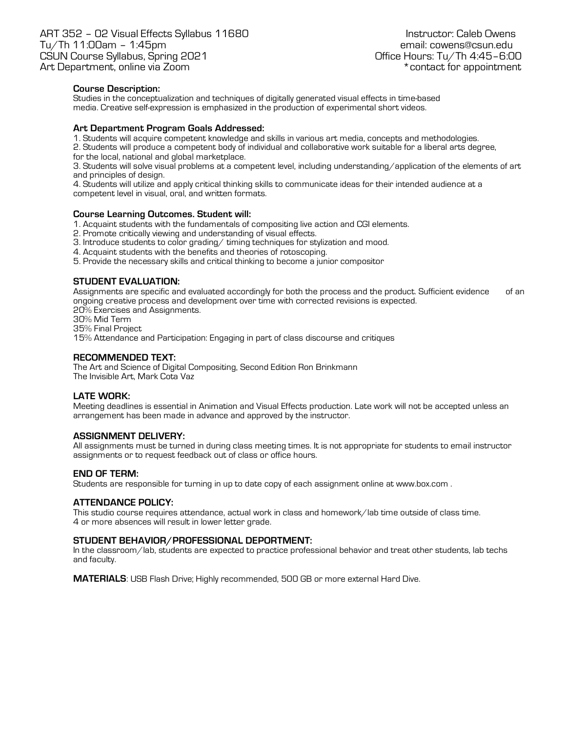## **Course Description:**

Studies in the conceptualization and techniques of digitally generated visual effects in time-based media. Creative self-expression is emphasized in the production of experimental short videos.

### **Art Department Program Goals Addressed:**

1. Students will acquire competent knowledge and skills in various art media, concepts and methodologies.

2. Students will produce a competent body of individual and collaborative work suitable for a liberal arts degree, for the local, national and global marketplace.

3. Students will solve visual problems at a competent level, including understanding/application of the elements of art and principles of design.

4. Students will utilize and apply critical thinking skills to communicate ideas for their intended audience at a competent level in visual, oral, and written formats.

#### **Course Learning Outcomes. Student will:**

- 1. Acquaint students with the fundamentals of compositing live action and CGI elements.
- 2. Promote critically viewing and understanding of visual effects.
- 3. Introduce students to color grading/ timing techniques for stylization and mood.
- 4. Acquaint students with the benefits and theories of rotoscoping.
- 5. Provide the necessary skills and critical thinking to become a junior compositor

## **STUDENT EVALUATION:**

Assignments are specific and evaluated accordingly for both the process and the product. Sufficient evidence of an ongoing creative process and development over time with corrected revisions is expected.

20% Exercises and Assignments.

- 30% Mid Term
- 35% Final Project

15% Attendance and Participation: Engaging in part of class discourse and critiques

### **RECOMMENDED TEXT:**

The Art and Science of Digital Compositing, Second Edition Ron Brinkmann The Invisible Art, Mark Cota Vaz

### **LATE WORK:**

Meeting deadlines is essential in Animation and Visual Effects production. Late work will not be accepted unless an arrangement has been made in advance and approved by the instructor.

### **ASSIGNMENT DELIVERY:**

All assignments must be turned in during class meeting times. It is not appropriate for students to email instructor assignments or to request feedback out of class or office hours.

### **END OF TERM:**

Students are responsible for turning in up to date copy of each assignment online at www.box.com .

### **ATTENDANCE POLICY:**

This studio course requires attendance, actual work in class and homework/lab time outside of class time. 4 or more absences will result in lower letter grade.

### **STUDENT BEHAVIOR/PROFESSIONAL DEPORTMENT:**

In the classroom/lab, students are expected to practice professional behavior and treat other students, lab techs and faculty.

**MATERIALS**: USB Flash Drive; Highly recommended, 500 GB or more external Hard Dive.